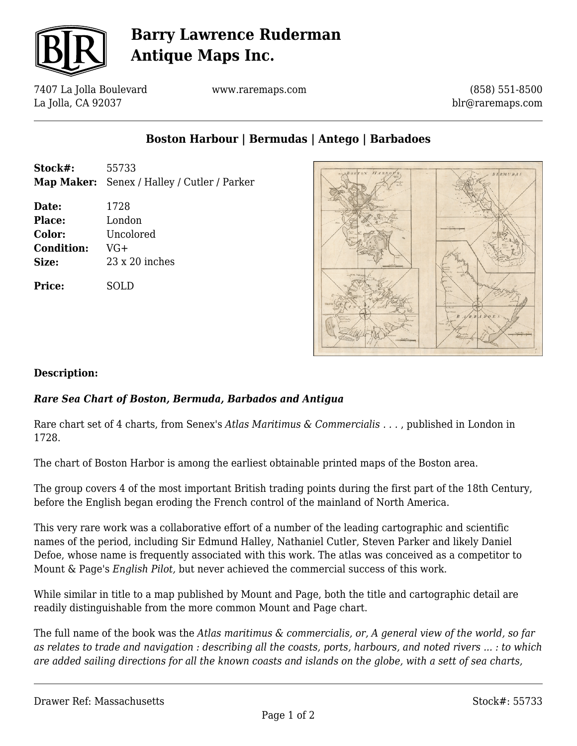

# **Barry Lawrence Ruderman Antique Maps Inc.**

7407 La Jolla Boulevard La Jolla, CA 92037

www.raremaps.com

(858) 551-8500 blr@raremaps.com

## **Boston Harbour | Bermudas | Antego | Barbadoes**

- **Stock#:** 55733 **Map Maker:** Senex / Halley / Cutler / Parker
- **Date:** 1728 **Place:** London **Color:** Uncolored **Condition:** VG+ **Size:** 23 x 20 inches

**Price:** SOLD



#### **Description:**

### *Rare Sea Chart of Boston, Bermuda, Barbados and Antigua*

Rare chart set of 4 charts, from Senex's *Atlas Maritimus & Commercialis . . .* , published in London in 1728.

The chart of Boston Harbor is among the earliest obtainable printed maps of the Boston area.

The group covers 4 of the most important British trading points during the first part of the 18th Century, before the English began eroding the French control of the mainland of North America.

This very rare work was a collaborative effort of a number of the leading cartographic and scientific names of the period, including Sir Edmund Halley, Nathaniel Cutler, Steven Parker and likely Daniel Defoe, whose name is frequently associated with this work. The atlas was conceived as a competitor to Mount & Page's *English Pilot,* but never achieved the commercial success of this work.

While similar in title to a map published by Mount and Page, both the title and cartographic detail are readily distinguishable from the more common Mount and Page chart.

The full name of the book was the *Atlas maritimus & commercialis, or, A general view of the world, so far as relates to trade and navigation : describing all the coasts, ports, harbours, and noted rivers ... : to which are added sailing directions for all the known coasts and islands on the globe, with a sett of sea charts,*